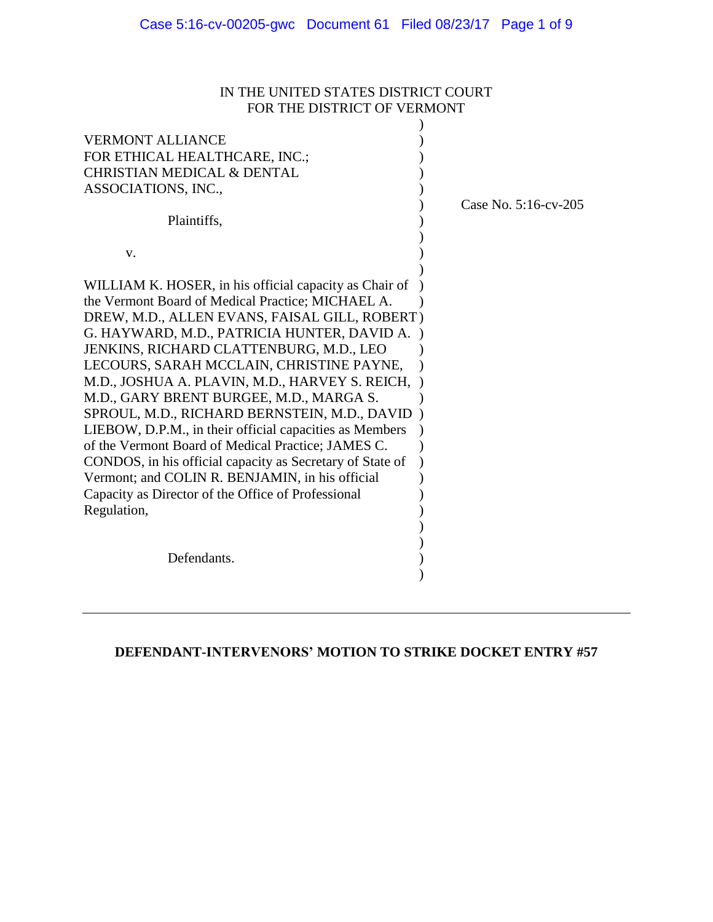# IN THE UNITED STATES DISTRICT COURT FOR THE DISTRICT OF VERMONT

| <b>VERMONT ALLIANCE</b><br>FOR ETHICAL HEALTHCARE, INC.;<br><b>CHRISTIAN MEDICAL &amp; DENTAL</b><br>ASSOCIATIONS, INC.,<br>Plaintiffs,                                                                                                                                                                                                                                                                                                                                                                                                                                                                                                                                                                                                               | Case No. 5:16-cv-205 |
|-------------------------------------------------------------------------------------------------------------------------------------------------------------------------------------------------------------------------------------------------------------------------------------------------------------------------------------------------------------------------------------------------------------------------------------------------------------------------------------------------------------------------------------------------------------------------------------------------------------------------------------------------------------------------------------------------------------------------------------------------------|----------------------|
| V.                                                                                                                                                                                                                                                                                                                                                                                                                                                                                                                                                                                                                                                                                                                                                    |                      |
| WILLIAM K. HOSER, in his official capacity as Chair of<br>the Vermont Board of Medical Practice; MICHAEL A.<br>DREW, M.D., ALLEN EVANS, FAISAL GILL, ROBERT)<br>G. HAYWARD, M.D., PATRICIA HUNTER, DAVID A.<br>JENKINS, RICHARD CLATTENBURG, M.D., LEO<br>LECOURS, SARAH MCCLAIN, CHRISTINE PAYNE,<br>M.D., JOSHUA A. PLAVIN, M.D., HARVEY S. REICH,<br>M.D., GARY BRENT BURGEE, M.D., MARGA S.<br>SPROUL, M.D., RICHARD BERNSTEIN, M.D., DAVID<br>LIEBOW, D.P.M., in their official capacities as Members<br>of the Vermont Board of Medical Practice; JAMES C.<br>CONDOS, in his official capacity as Secretary of State of<br>Vermont; and COLIN R. BENJAMIN, in his official<br>Capacity as Director of the Office of Professional<br>Regulation, |                      |
| Defendants.                                                                                                                                                                                                                                                                                                                                                                                                                                                                                                                                                                                                                                                                                                                                           |                      |

# **DEFENDANT-INTERVENORS' MOTION TO STRIKE DOCKET ENTRY #57**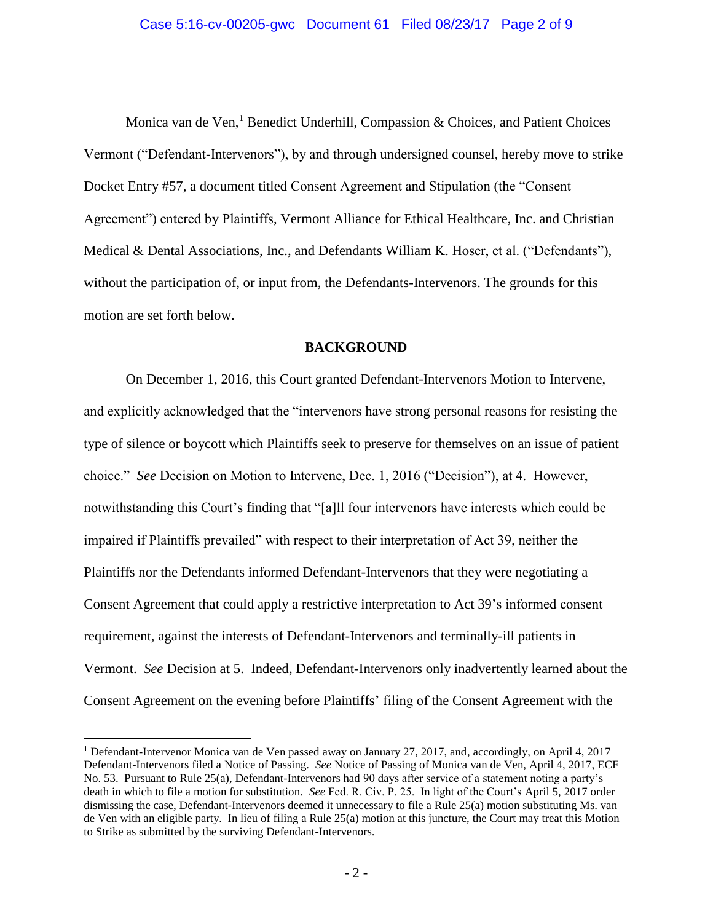Monica van de Ven,<sup>1</sup> Benedict Underhill, Compassion & Choices, and Patient Choices Vermont ("Defendant-Intervenors"), by and through undersigned counsel, hereby move to strike Docket Entry #57, a document titled Consent Agreement and Stipulation (the "Consent Agreement") entered by Plaintiffs, Vermont Alliance for Ethical Healthcare, Inc. and Christian Medical & Dental Associations, Inc., and Defendants William K. Hoser, et al. ("Defendants"), without the participation of, or input from, the Defendants-Intervenors. The grounds for this motion are set forth below.

#### **BACKGROUND**

On December 1, 2016, this Court granted Defendant-Intervenors Motion to Intervene, and explicitly acknowledged that the "intervenors have strong personal reasons for resisting the type of silence or boycott which Plaintiffs seek to preserve for themselves on an issue of patient choice." *See* Decision on Motion to Intervene, Dec. 1, 2016 ("Decision"), at 4. However, notwithstanding this Court's finding that "[a]ll four intervenors have interests which could be impaired if Plaintiffs prevailed" with respect to their interpretation of Act 39, neither the Plaintiffs nor the Defendants informed Defendant-Intervenors that they were negotiating a Consent Agreement that could apply a restrictive interpretation to Act 39's informed consent requirement, against the interests of Defendant-Intervenors and terminally-ill patients in Vermont. *See* Decision at 5. Indeed, Defendant-Intervenors only inadvertently learned about the Consent Agreement on the evening before Plaintiffs' filing of the Consent Agreement with the

 $\overline{a}$ 

<sup>1</sup> Defendant-Intervenor Monica van de Ven passed away on January 27, 2017, and, accordingly, on April 4, 2017 Defendant-Intervenors filed a Notice of Passing. *See* Notice of Passing of Monica van de Ven, April 4, 2017, ECF No. 53. Pursuant to Rule 25(a), Defendant-Intervenors had 90 days after service of a statement noting a party's death in which to file a motion for substitution. *See* Fed. R. Civ. P. 25. In light of the Court's April 5, 2017 order dismissing the case, Defendant-Intervenors deemed it unnecessary to file a Rule 25(a) motion substituting Ms. van de Ven with an eligible party. In lieu of filing a Rule 25(a) motion at this juncture, the Court may treat this Motion to Strike as submitted by the surviving Defendant-Intervenors.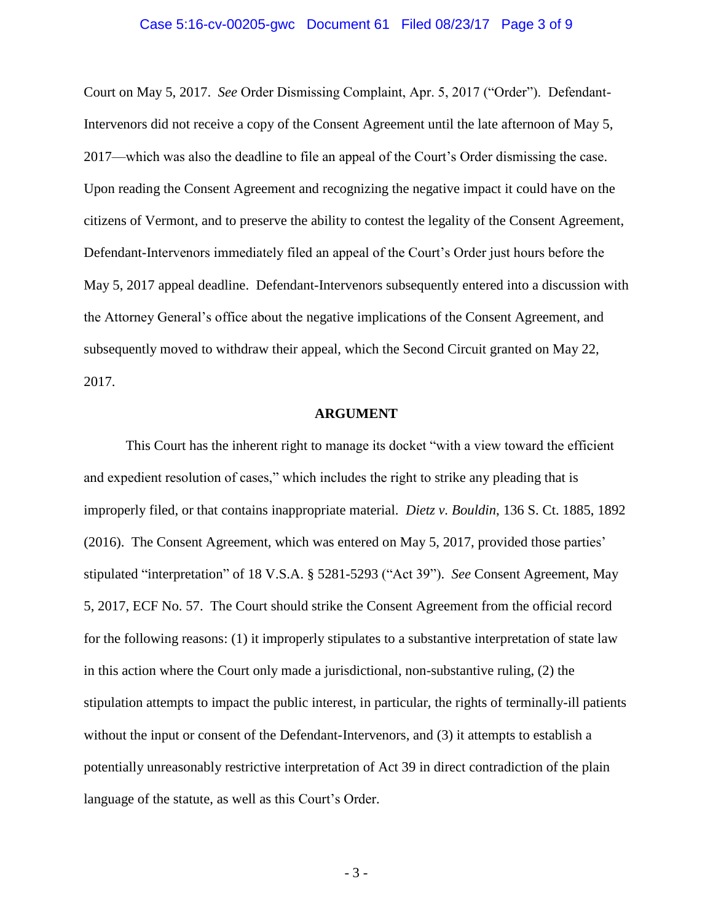#### Case 5:16-cv-00205-gwc Document 61 Filed 08/23/17 Page 3 of 9

Court on May 5, 2017. *See* Order Dismissing Complaint, Apr. 5, 2017 ("Order"). Defendant-Intervenors did not receive a copy of the Consent Agreement until the late afternoon of May 5, 2017—which was also the deadline to file an appeal of the Court's Order dismissing the case. Upon reading the Consent Agreement and recognizing the negative impact it could have on the citizens of Vermont, and to preserve the ability to contest the legality of the Consent Agreement, Defendant-Intervenors immediately filed an appeal of the Court's Order just hours before the May 5, 2017 appeal deadline. Defendant-Intervenors subsequently entered into a discussion with the Attorney General's office about the negative implications of the Consent Agreement, and subsequently moved to withdraw their appeal, which the Second Circuit granted on May 22, 2017.

#### **ARGUMENT**

This Court has the inherent right to manage its docket "with a view toward the efficient and expedient resolution of cases," which includes the right to strike any pleading that is improperly filed, or that contains inappropriate material. *Dietz v. Bouldin*, 136 S. Ct. 1885, 1892 (2016). The Consent Agreement, which was entered on May 5, 2017, provided those parties' stipulated "interpretation" of 18 V.S.A. § 5281-5293 ("Act 39"). *See* Consent Agreement, May 5, 2017, ECF No. 57. The Court should strike the Consent Agreement from the official record for the following reasons: (1) it improperly stipulates to a substantive interpretation of state law in this action where the Court only made a jurisdictional, non-substantive ruling, (2) the stipulation attempts to impact the public interest, in particular, the rights of terminally-ill patients without the input or consent of the Defendant-Intervenors, and (3) it attempts to establish a potentially unreasonably restrictive interpretation of Act 39 in direct contradiction of the plain language of the statute, as well as this Court's Order.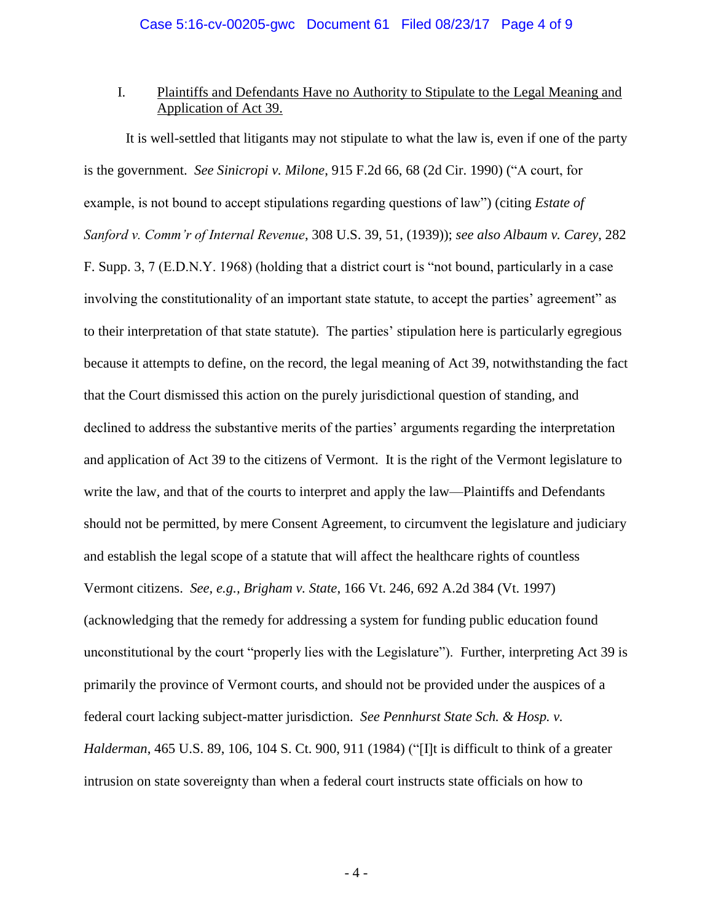### I. Plaintiffs and Defendants Have no Authority to Stipulate to the Legal Meaning and Application of Act 39.

It is well-settled that litigants may not stipulate to what the law is, even if one of the party is the government. *See Sinicropi v. Milone*, 915 F.2d 66, 68 (2d Cir. 1990) ("A court, for example, is not bound to accept stipulations regarding questions of law") (citing *Estate of Sanford v. Comm'r of Internal Revenue*, 308 U.S. 39, 51, (1939)); *see also Albaum v. Carey*, 282 F. Supp. 3, 7 (E.D.N.Y. 1968) (holding that a district court is "not bound, particularly in a case involving the constitutionality of an important state statute, to accept the parties' agreement" as to their interpretation of that state statute). The parties' stipulation here is particularly egregious because it attempts to define, on the record, the legal meaning of Act 39, notwithstanding the fact that the Court dismissed this action on the purely jurisdictional question of standing, and declined to address the substantive merits of the parties' arguments regarding the interpretation and application of Act 39 to the citizens of Vermont. It is the right of the Vermont legislature to write the law, and that of the courts to interpret and apply the law—Plaintiffs and Defendants should not be permitted, by mere Consent Agreement, to circumvent the legislature and judiciary and establish the legal scope of a statute that will affect the healthcare rights of countless Vermont citizens. *See, e.g., Brigham v. State*, 166 Vt. 246, 692 A.2d 384 (Vt. 1997) (acknowledging that the remedy for addressing a system for funding public education found unconstitutional by the court "properly lies with the Legislature"). Further, interpreting Act 39 is primarily the province of Vermont courts, and should not be provided under the auspices of a federal court lacking subject-matter jurisdiction. *See Pennhurst State Sch. & Hosp. v. Halderman*, 465 U.S. 89, 106, 104 S. Ct. 900, 911 (1984) ("[I]t is difficult to think of a greater intrusion on state sovereignty than when a federal court instructs state officials on how to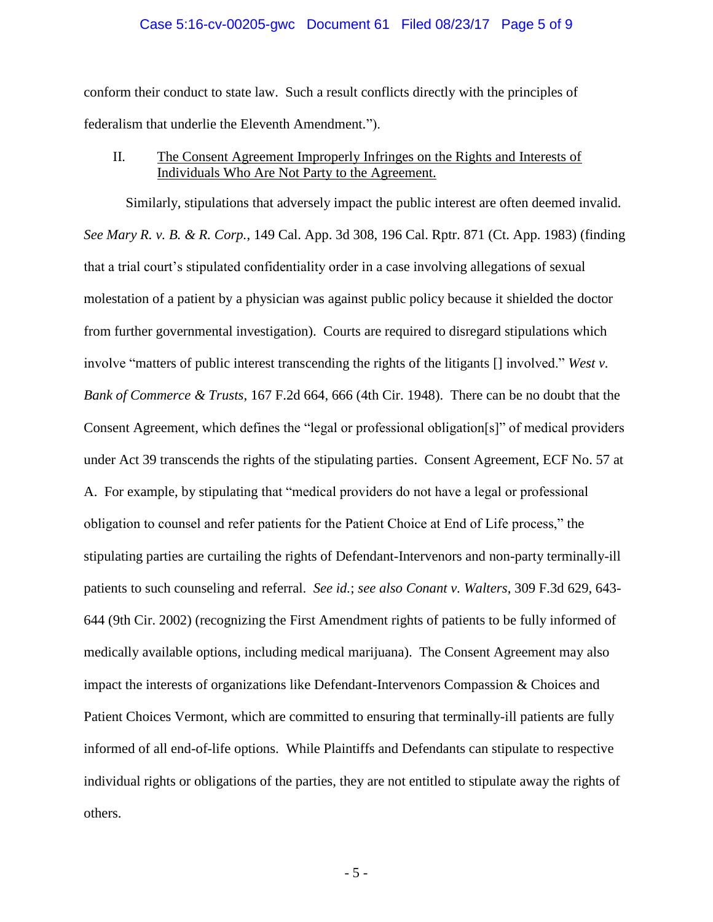#### Case 5:16-cv-00205-gwc Document 61 Filed 08/23/17 Page 5 of 9

conform their conduct to state law. Such a result conflicts directly with the principles of federalism that underlie the Eleventh Amendment.").

### II. The Consent Agreement Improperly Infringes on the Rights and Interests of Individuals Who Are Not Party to the Agreement.

Similarly, stipulations that adversely impact the public interest are often deemed invalid. *See Mary R. v. B. & R. Corp.*, 149 Cal. App. 3d 308, 196 Cal. Rptr. 871 (Ct. App. 1983) (finding that a trial court's stipulated confidentiality order in a case involving allegations of sexual molestation of a patient by a physician was against public policy because it shielded the doctor from further governmental investigation). Courts are required to disregard stipulations which involve "matters of public interest transcending the rights of the litigants [] involved." *West v. Bank of Commerce & Trusts*, 167 F.2d 664, 666 (4th Cir. 1948). There can be no doubt that the Consent Agreement, which defines the "legal or professional obligation[s]" of medical providers under Act 39 transcends the rights of the stipulating parties. Consent Agreement, ECF No. 57 at A. For example, by stipulating that "medical providers do not have a legal or professional obligation to counsel and refer patients for the Patient Choice at End of Life process," the stipulating parties are curtailing the rights of Defendant-Intervenors and non-party terminally-ill patients to such counseling and referral. *See id.*; *see also Conant v. Walters*, 309 F.3d 629, 643- 644 (9th Cir. 2002) (recognizing the First Amendment rights of patients to be fully informed of medically available options, including medical marijuana). The Consent Agreement may also impact the interests of organizations like Defendant-Intervenors Compassion & Choices and Patient Choices Vermont, which are committed to ensuring that terminally-ill patients are fully informed of all end-of-life options. While Plaintiffs and Defendants can stipulate to respective individual rights or obligations of the parties, they are not entitled to stipulate away the rights of others.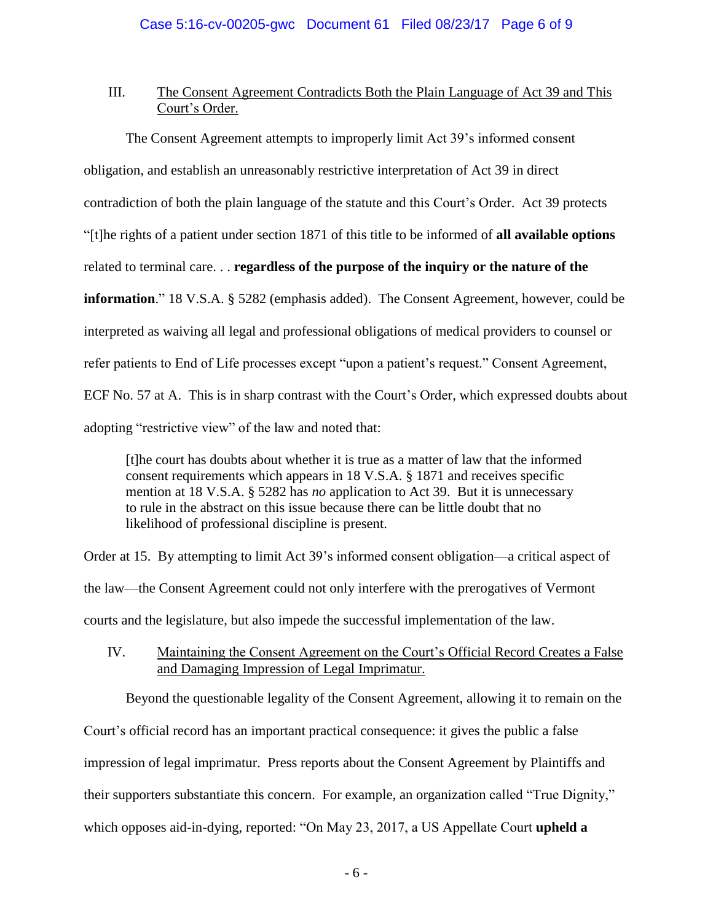### III. The Consent Agreement Contradicts Both the Plain Language of Act 39 and This Court's Order.

The Consent Agreement attempts to improperly limit Act 39's informed consent obligation, and establish an unreasonably restrictive interpretation of Act 39 in direct contradiction of both the plain language of the statute and this Court's Order. Act 39 protects "[t]he rights of a patient under section 1871 of this title to be informed of **all available options** related to terminal care. . . **regardless of the purpose of the inquiry or the nature of the information**." 18 V.S.A. § 5282 (emphasis added). The Consent Agreement, however, could be interpreted as waiving all legal and professional obligations of medical providers to counsel or refer patients to End of Life processes except "upon a patient's request." Consent Agreement, ECF No. 57 at A. This is in sharp contrast with the Court's Order, which expressed doubts about adopting "restrictive view" of the law and noted that:

[t]he court has doubts about whether it is true as a matter of law that the informed consent requirements which appears in 18 V.S.A. § 1871 and receives specific mention at 18 V.S.A. § 5282 has *no* application to Act 39. But it is unnecessary to rule in the abstract on this issue because there can be little doubt that no likelihood of professional discipline is present.

Order at 15. By attempting to limit Act 39's informed consent obligation—a critical aspect of the law—the Consent Agreement could not only interfere with the prerogatives of Vermont courts and the legislature, but also impede the successful implementation of the law.

IV. Maintaining the Consent Agreement on the Court's Official Record Creates a False and Damaging Impression of Legal Imprimatur.

Beyond the questionable legality of the Consent Agreement, allowing it to remain on the Court's official record has an important practical consequence: it gives the public a false impression of legal imprimatur. Press reports about the Consent Agreement by Plaintiffs and their supporters substantiate this concern. For example, an organization called "True Dignity," which opposes aid-in-dying, reported: "On May 23, 2017, a US Appellate Court **upheld a**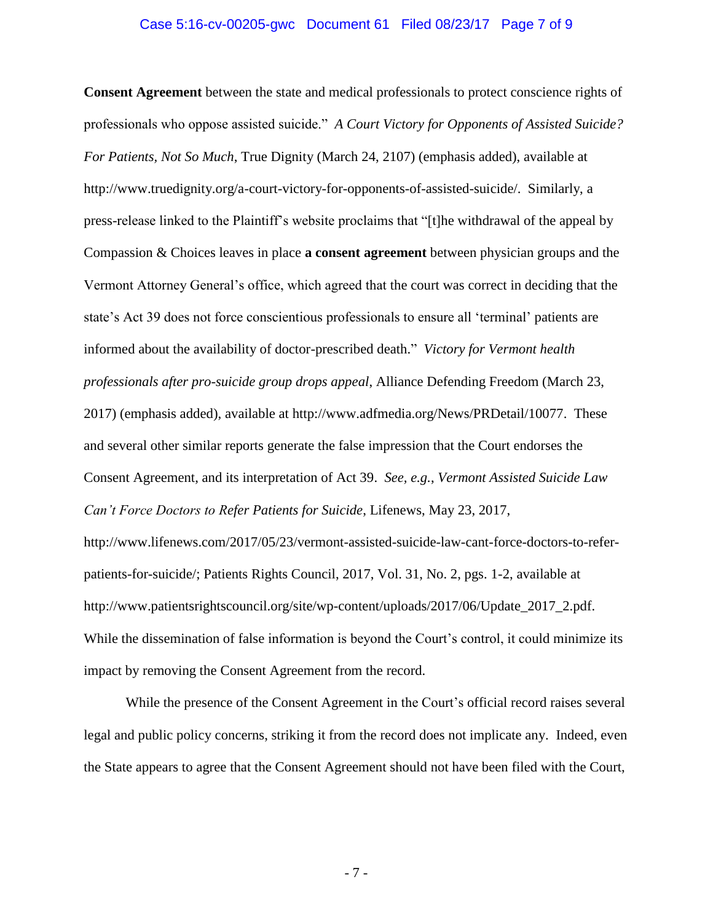#### Case 5:16-cv-00205-gwc Document 61 Filed 08/23/17 Page 7 of 9

**Consent Agreement** between the state and medical professionals to protect conscience rights of professionals who oppose assisted suicide." *A Court Victory for Opponents of Assisted Suicide? For Patients, Not So Much*, True Dignity (March 24, 2107) (emphasis added), available at http://www.truedignity.org/a-court-victory-for-opponents-of-assisted-suicide/. Similarly, a press-release linked to the Plaintiff's website proclaims that "[t]he withdrawal of the appeal by Compassion & Choices leaves in place **a consent agreement** between physician groups and the Vermont Attorney General's office, which agreed that the court was correct in deciding that the state's Act 39 does not force conscientious professionals to ensure all 'terminal' patients are informed about the availability of doctor-prescribed death." *Victory for Vermont health professionals after pro-suicide group drops appeal*, Alliance Defending Freedom (March 23, 2017) (emphasis added), available at http://www.adfmedia.org/News/PRDetail/10077. These and several other similar reports generate the false impression that the Court endorses the Consent Agreement, and its interpretation of Act 39. *See, e.g.*, *Vermont Assisted Suicide Law Can't Force Doctors to Refer Patients for Suicide*, Lifenews, May 23, 2017, http://www.lifenews.com/2017/05/23/vermont-assisted-suicide-law-cant-force-doctors-to-referpatients-for-suicide/; Patients Rights Council, 2017, Vol. 31, No. 2, pgs. 1-2, available at http://www.patientsrightscouncil.org/site/wp-content/uploads/2017/06/Update\_2017\_2.pdf. While the dissemination of false information is beyond the Court's control, it could minimize its

impact by removing the Consent Agreement from the record. While the presence of the Consent Agreement in the Court's official record raises several

legal and public policy concerns, striking it from the record does not implicate any. Indeed, even the State appears to agree that the Consent Agreement should not have been filed with the Court,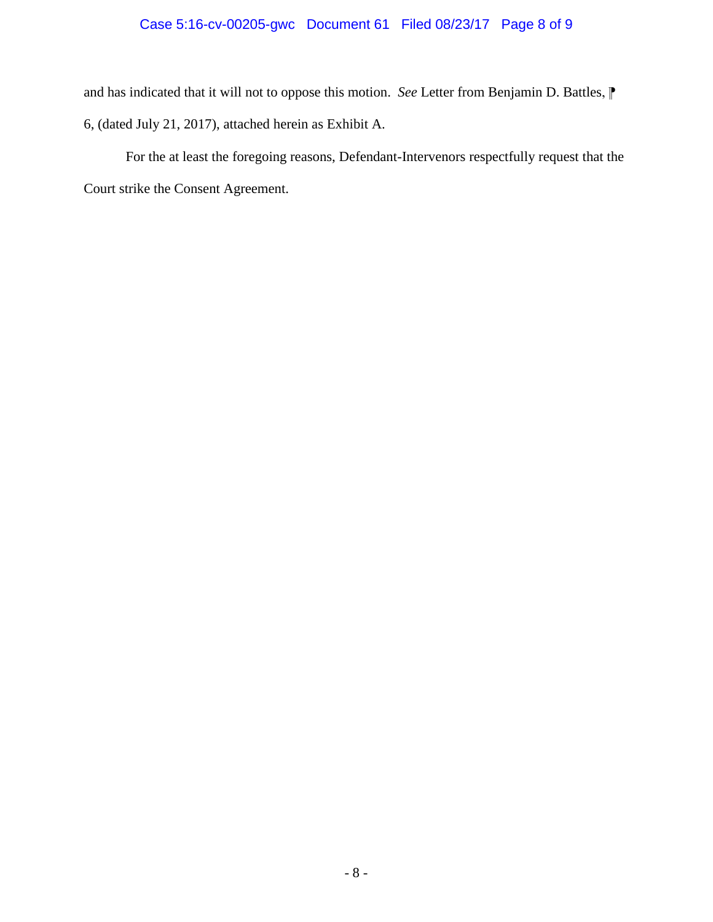# Case 5:16-cv-00205-gwc Document 61 Filed 08/23/17 Page 8 of 9

and has indicated that it will not to oppose this motion. *See* Letter from Benjamin D. Battles,  $\mathbb{P}$ 6, (dated July 21, 2017), attached herein as Exhibit A.

For the at least the foregoing reasons, Defendant-Intervenors respectfully request that the Court strike the Consent Agreement.